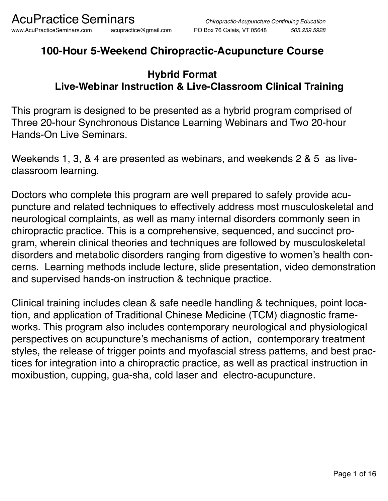## **100-Hour 5-Weekend Chiropractic-Acupuncture Course**

### **Hybrid Format Live-Webinar Instruction & Live-Classroom Clinical Training**

This program is designed to be presented as a hybrid program comprised of Three 20-hour Synchronous Distance Learning Webinars and Two 20-hour Hands-On Live Seminars.

Weekends 1, 3, & 4 are presented as webinars, and weekends 2 & 5 as liveclassroom learning.

Doctors who complete this program are well prepared to safely provide acupuncture and related techniques to effectively address most musculoskeletal and neurological complaints, as well as many internal disorders commonly seen in chiropractic practice. This is a comprehensive, sequenced, and succinct program, wherein clinical theories and techniques are followed by musculoskeletal disorders and metabolic disorders ranging from digestive to women's health concerns. Learning methods include lecture, slide presentation, video demonstration and supervised hands-on instruction & technique practice.

Clinical training includes clean & safe needle handling & techniques, point location, and application of Traditional Chinese Medicine (TCM) diagnostic frameworks. This program also includes contemporary neurological and physiological perspectives on acupuncture's mechanisms of action, contemporary treatment styles, the release of trigger points and myofascial stress patterns, and best practices for integration into a chiropractic practice, as well as practical instruction in moxibustion, cupping, gua-sha, cold laser and electro-acupuncture.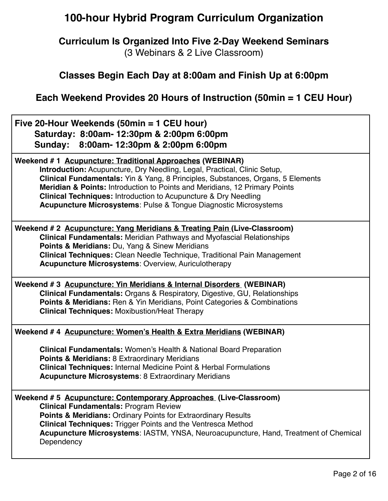### **100-hour Hybrid Program Curriculum Organization**

#### **Curriculum Is Organized Into Five 2-Day Weekend Seminars** (3 Webinars & 2 Live Classroom)

#### **Classes Begin Each Day at 8:00am and Finish Up at 6:00pm**

**Each Weekend Provides 20 Hours of Instruction (50min = 1 CEU Hour)**

| Five 20-Hour Weekends (50min = 1 CEU hour)<br>Saturday: 8:00am- 12:30pm & 2:00pm 6:00pm<br>Sunday: 8:00am-12:30pm & 2:00pm 6:00pm                                                                                                                                                                                                                                                                                                                                                    |  |
|--------------------------------------------------------------------------------------------------------------------------------------------------------------------------------------------------------------------------------------------------------------------------------------------------------------------------------------------------------------------------------------------------------------------------------------------------------------------------------------|--|
| Weekend #1 Acupuncture: Traditional Approaches (WEBINAR)<br>Introduction: Acupuncture, Dry Needling, Legal, Practical, Clinic Setup,<br><b>Clinical Fundamentals:</b> Yin & Yang, 8 Principles, Substances, Organs, 5 Elements<br><b>Meridian &amp; Points: Introduction to Points and Meridians, 12 Primary Points</b><br><b>Clinical Techniques: Introduction to Acupuncture &amp; Dry Needling</b><br><b>Acupuncture Microsystems: Pulse &amp; Tongue Diagnostic Microsystems</b> |  |
| Weekend # 2 Acupuncture: Yang Meridians & Treating Pain (Live-Classroom)<br><b>Clinical Fundamentals: Meridian Pathways and Myofascial Relationships</b><br><b>Points &amp; Meridians: Du, Yang &amp; Sinew Meridians</b><br>Clinical Techniques: Clean Needle Technique, Traditional Pain Management<br><b>Acupuncture Microsystems: Overview, Auriculotherapy</b>                                                                                                                  |  |
| Weekend # 3 Acupuncture: Yin Meridians & Internal Disorders (WEBINAR)<br><b>Clinical Fundamentals: Organs &amp; Respiratory, Digestive, GU, Relationships</b><br>Points & Meridians: Ren & Yin Meridians, Point Categories & Combinations<br><b>Clinical Techniques: Moxibustion/Heat Therapy</b>                                                                                                                                                                                    |  |
| Weekend #4 Acupuncture: Women's Health & Extra Meridians (WEBINAR)<br><b>Clinical Fundamentals: Women's Health &amp; National Board Preparation</b><br>Points & Meridians: 8 Extraordinary Meridians<br><b>Clinical Techniques: Internal Medicine Point &amp; Herbal Formulations</b><br><b>Acupuncture Microsystems: 8 Extraordinary Meridians</b>                                                                                                                                  |  |
| Weekend # 5 Acupuncture: Contemporary Approaches (Live-Classroom)<br><b>Clinical Fundamentals: Program Review</b><br><b>Points &amp; Meridians: Ordinary Points for Extraordinary Results</b><br><b>Clinical Techniques: Trigger Points and the Ventresca Method</b><br>Acupuncture Microsystems: IASTM, YNSA, Neuroacupuncture, Hand, Treatment of Chemical<br>Dependency                                                                                                           |  |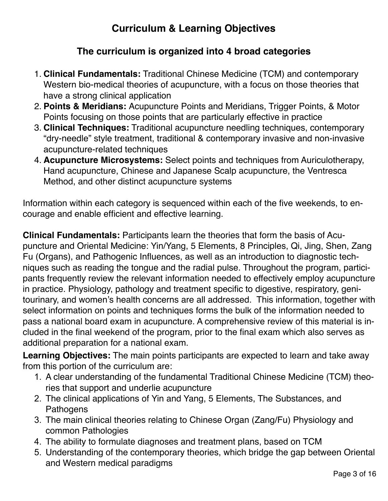### **Curriculum & Learning Objectives**

#### **The curriculum is organized into 4 broad categories**

- 1. **Clinical Fundamentals:** Traditional Chinese Medicine (TCM) and contemporary Western bio-medical theories of acupuncture, with a focus on those theories that have a strong clinical application
- 2. **Points & Meridians:** Acupuncture Points and Meridians, Trigger Points, & Motor Points focusing on those points that are particularly effective in practice
- 3. **Clinical Techniques:** Traditional acupuncture needling techniques, contemporary "dry-needle" style treatment, traditional & contemporary invasive and non-invasive acupuncture-related techniques
- 4. **Acupuncture Microsystems:** Select points and techniques from Auriculotherapy, Hand acupuncture, Chinese and Japanese Scalp acupuncture, the Ventresca Method, and other distinct acupuncture systems

Information within each category is sequenced within each of the five weekends, to encourage and enable efficient and effective learning.

**Clinical Fundamentals:** Participants learn the theories that form the basis of Acupuncture and Oriental Medicine: Yin/Yang, 5 Elements, 8 Principles, Qi, Jing, Shen, Zang Fu (Organs), and Pathogenic Influences, as well as an introduction to diagnostic techniques such as reading the tongue and the radial pulse. Throughout the program, participants frequently review the relevant information needed to effectively employ acupuncture in practice. Physiology, pathology and treatment specific to digestive, respiratory, genitourinary, and women's health concerns are all addressed. This information, together with select information on points and techniques forms the bulk of the information needed to pass a national board exam in acupuncture. A comprehensive review of this material is included in the final weekend of the program, prior to the final exam which also serves as additional preparation for a national exam.

**Learning Objectives:** The main points participants are expected to learn and take away from this portion of the curriculum are:

- 1. A clear understanding of the fundamental Traditional Chinese Medicine (TCM) theories that support and underlie acupuncture
- 2. The clinical applications of Yin and Yang, 5 Elements, The Substances, and Pathogens
- 3. The main clinical theories relating to Chinese Organ (Zang/Fu) Physiology and common Pathologies
- 4. The ability to formulate diagnoses and treatment plans, based on TCM
- 5. Understanding of the contemporary theories, which bridge the gap between Oriental and Western medical paradigms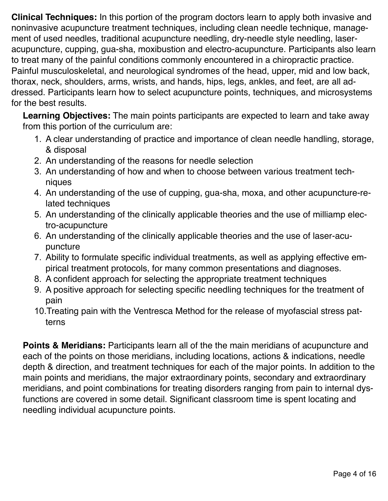**Clinical Techniques:** In this portion of the program doctors learn to apply both invasive and noninvasive acupuncture treatment techniques, including clean needle technique, management of used needles, traditional acupuncture needling, dry-needle style needling, laseracupuncture, cupping, gua-sha, moxibustion and electro-acupuncture. Participants also learn to treat many of the painful conditions commonly encountered in a chiropractic practice. Painful musculoskeletal, and neurological syndromes of the head, upper, mid and low back, thorax, neck, shoulders, arms, wrists, and hands, hips, legs, ankles, and feet, are all addressed. Participants learn how to select acupuncture points, techniques, and microsystems for the best results.

**Learning Objectives:** The main points participants are expected to learn and take away from this portion of the curriculum are:

- 1. A clear understanding of practice and importance of clean needle handling, storage, & disposal
- 2. An understanding of the reasons for needle selection
- 3. An understanding of how and when to choose between various treatment techniques
- 4. An understanding of the use of cupping, gua-sha, moxa, and other acupuncture-related techniques
- 5. An understanding of the clinically applicable theories and the use of milliamp electro-acupuncture
- 6. An understanding of the clinically applicable theories and the use of laser-acupuncture
- 7. Ability to formulate specific individual treatments, as well as applying effective empirical treatment protocols, for many common presentations and diagnoses.
- 8. A confident approach for selecting the appropriate treatment techniques
- 9. A positive approach for selecting specific needling techniques for the treatment of pain
- 10.Treating pain with the Ventresca Method for the release of myofascial stress patterns

**Points & Meridians:** Participants learn all of the the main meridians of acupuncture and each of the points on those meridians, including locations, actions & indications, needle depth & direction, and treatment techniques for each of the major points. In addition to the main points and meridians, the major extraordinary points, secondary and extraordinary meridians, and point combinations for treating disorders ranging from pain to internal dysfunctions are covered in some detail. Significant classroom time is spent locating and needling individual acupuncture points.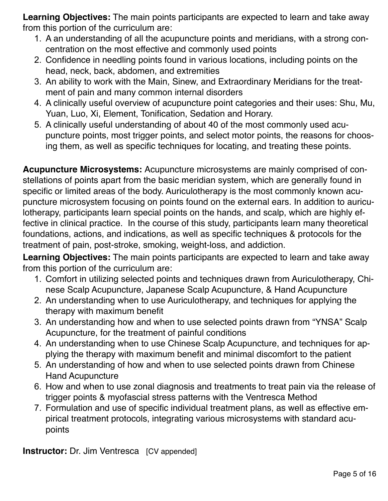**Learning Objectives:** The main points participants are expected to learn and take away from this portion of the curriculum are:

- 1. A an understanding of all the acupuncture points and meridians, with a strong concentration on the most effective and commonly used points
- 2. Confidence in needling points found in various locations, including points on the head, neck, back, abdomen, and extremities
- 3. An ability to work with the Main, Sinew, and Extraordinary Meridians for the treatment of pain and many common internal disorders
- 4. A clinically useful overview of acupuncture point categories and their uses: Shu, Mu, Yuan, Luo, Xi, Element, Tonification, Sedation and Horary.
- 5. A clinically useful understanding of about 40 of the most commonly used acupuncture points, most trigger points, and select motor points, the reasons for choosing them, as well as specific techniques for locating, and treating these points.

**Acupuncture Microsystems:** Acupuncture microsystems are mainly comprised of constellations of points apart from the basic meridian system, which are generally found in specific or limited areas of the body. Auriculotherapy is the most commonly known acupuncture microsystem focusing on points found on the external ears. In addition to auriculotherapy, participants learn special points on the hands, and scalp, which are highly effective in clinical practice. In the course of this study, participants learn many theoretical foundations, actions, and indications, as well as specific techniques & protocols for the treatment of pain, post-stroke, smoking, weight-loss, and addiction.

**Learning Objectives:** The main points participants are expected to learn and take away from this portion of the curriculum are:

- 1. Comfort in utilizing selected points and techniques drawn from Auriculotherapy, Chinese Scalp Acupuncture, Japanese Scalp Acupuncture, & Hand Acupuncture
- 2. An understanding when to use Auriculotherapy, and techniques for applying the therapy with maximum benefit
- 3. An understanding how and when to use selected points drawn from "YNSA" Scalp Acupuncture, for the treatment of painful conditions
- 4. An understanding when to use Chinese Scalp Acupuncture, and techniques for applying the therapy with maximum benefit and minimal discomfort to the patient
- 5. An understanding of how and when to use selected points drawn from Chinese Hand Acupuncture
- 6. How and when to use zonal diagnosis and treatments to treat pain via the release of trigger points & myofascial stress patterns with the Ventresca Method
- 7. Formulation and use of specific individual treatment plans, as well as effective empirical treatment protocols, integrating various microsystems with standard acupoints

**Instructor:** Dr. Jim Ventresca [CV appended]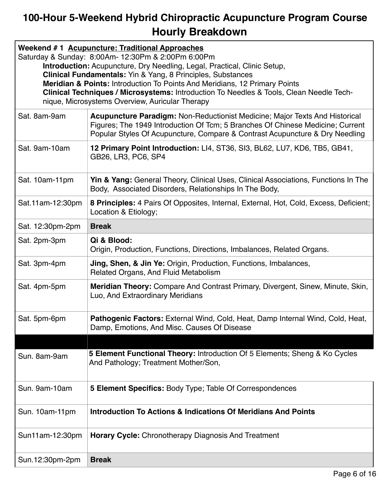# **100-Hour 5-Weekend Hybrid Chiropractic Acupuncture Program Course Hourly Breakdown**

| Weekend #1 Acupuncture: Traditional Approaches<br>Saturday & Sunday: 8:00Am- 12:30Pm & 2:00Pm 6:00Pm<br><b>Introduction:</b> Acupuncture, Dry Needling, Legal, Practical, Clinic Setup,<br><b>Clinical Fundamentals:</b> Yin & Yang, 8 Principles, Substances<br><b>Meridian &amp; Points: Introduction To Points And Meridians, 12 Primary Points</b><br>Clinical Techniques / Microsystems: Introduction To Needles & Tools, Clean Needle Tech-<br>nique, Microsystems Overview, Auricular Therapy |                                                                                                                                                                                                                                               |
|------------------------------------------------------------------------------------------------------------------------------------------------------------------------------------------------------------------------------------------------------------------------------------------------------------------------------------------------------------------------------------------------------------------------------------------------------------------------------------------------------|-----------------------------------------------------------------------------------------------------------------------------------------------------------------------------------------------------------------------------------------------|
| Sat. 8am-9am                                                                                                                                                                                                                                                                                                                                                                                                                                                                                         | Acupuncture Paradigm: Non-Reductionist Medicine; Major Texts And Historical<br>Figures; The 1949 Introduction Of Tcm; 5 Branches Of Chinese Medicine; Current<br>Popular Styles Of Acupuncture, Compare & Contrast Acupuncture & Dry Needling |
| Sat. 9am-10am                                                                                                                                                                                                                                                                                                                                                                                                                                                                                        | 12 Primary Point Introduction: LI4, ST36, SI3, BL62, LU7, KD6, TB5, GB41,<br>GB26, LR3, PC6, SP4                                                                                                                                              |
| Sat. 10am-11pm                                                                                                                                                                                                                                                                                                                                                                                                                                                                                       | Yin & Yang: General Theory, Clinical Uses, Clinical Associations, Functions In The<br>Body, Associated Disorders, Relationships In The Body,                                                                                                  |
| Sat.11am-12:30pm                                                                                                                                                                                                                                                                                                                                                                                                                                                                                     | 8 Principles: 4 Pairs Of Opposites, Internal, External, Hot, Cold, Excess, Deficient;<br>Location & Etiology;                                                                                                                                 |
| Sat. 12:30pm-2pm                                                                                                                                                                                                                                                                                                                                                                                                                                                                                     | <b>Break</b>                                                                                                                                                                                                                                  |
| Sat. 2pm-3pm                                                                                                                                                                                                                                                                                                                                                                                                                                                                                         | Qi & Blood:<br>Origin, Production, Functions, Directions, Imbalances, Related Organs.                                                                                                                                                         |
| Sat. 3pm-4pm                                                                                                                                                                                                                                                                                                                                                                                                                                                                                         | <b>Jing, Shen, &amp; Jin Ye: Origin, Production, Functions, Imbalances,</b><br>Related Organs, And Fluid Metabolism                                                                                                                           |
| Sat. 4pm-5pm                                                                                                                                                                                                                                                                                                                                                                                                                                                                                         | Meridian Theory: Compare And Contrast Primary, Divergent, Sinew, Minute, Skin,<br>Luo, And Extraordinary Meridians                                                                                                                            |
| Sat. 5pm-6pm                                                                                                                                                                                                                                                                                                                                                                                                                                                                                         | Pathogenic Factors: External Wind, Cold, Heat, Damp Internal Wind, Cold, Heat,<br>Damp, Emotions, And Misc. Causes Of Disease                                                                                                                 |
|                                                                                                                                                                                                                                                                                                                                                                                                                                                                                                      |                                                                                                                                                                                                                                               |
| Sun. 8am-9am                                                                                                                                                                                                                                                                                                                                                                                                                                                                                         | 5 Element Functional Theory: Introduction Of 5 Elements; Sheng & Ko Cycles<br>And Pathology; Treatment Mother/Son,                                                                                                                            |
| Sun. 9am-10am                                                                                                                                                                                                                                                                                                                                                                                                                                                                                        | 5 Element Specifics: Body Type; Table Of Correspondences                                                                                                                                                                                      |
| Sun. 10am-11pm                                                                                                                                                                                                                                                                                                                                                                                                                                                                                       | Introduction To Actions & Indications Of Meridians And Points                                                                                                                                                                                 |
| Sun11am-12:30pm                                                                                                                                                                                                                                                                                                                                                                                                                                                                                      | <b>Horary Cycle: Chronotherapy Diagnosis And Treatment</b>                                                                                                                                                                                    |
| Sun.12:30pm-2pm                                                                                                                                                                                                                                                                                                                                                                                                                                                                                      | <b>Break</b>                                                                                                                                                                                                                                  |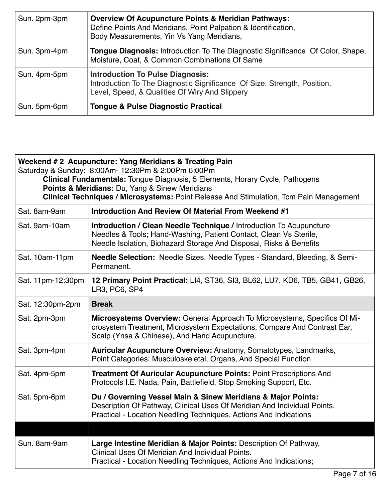| Sun. 2pm-3pm | <b>Overview Of Acupuncture Points &amp; Meridian Pathways:</b><br>Define Points And Meridians, Point Palpation & Identification,<br>Body Measurements, Yin Vs Yang Meridians, |
|--------------|-------------------------------------------------------------------------------------------------------------------------------------------------------------------------------|
| Sun. 3pm-4pm | <b>Tongue Diagnosis: Introduction To The Diagnostic Significance Of Color, Shape,</b><br>Moisture, Coat, & Common Combinations Of Same                                        |
| Sun. 4pm-5pm | <b>Introduction To Pulse Diagnosis:</b><br>Introduction To The Diagnostic Significance Of Size, Strength, Position,<br>Level, Speed, & Qualities Of Wiry And Slippery         |
| Sun. 5pm-6pm | <b>Tongue &amp; Pulse Diagnostic Practical</b>                                                                                                                                |

| Weekend # 2 Acupuncture: Yang Meridians & Treating Pain<br>Saturday & Sunday: 8:00Am- 12:30Pm & 2:00Pm 6:00Pm<br>Clinical Fundamentals: Tongue Diagnosis, 5 Elements, Horary Cycle, Pathogens<br>Points & Meridians: Du, Yang & Sinew Meridians<br>Clinical Techniques / Microsystems: Point Release And Stimulation, Tcm Pain Management |                                                                                                                                                                                                                       |
|-------------------------------------------------------------------------------------------------------------------------------------------------------------------------------------------------------------------------------------------------------------------------------------------------------------------------------------------|-----------------------------------------------------------------------------------------------------------------------------------------------------------------------------------------------------------------------|
| Sat. 8am-9am                                                                                                                                                                                                                                                                                                                              | Introduction And Review Of Material From Weekend #1                                                                                                                                                                   |
| Sat. 9am-10am                                                                                                                                                                                                                                                                                                                             | <b>Introduction / Clean Needle Technique / Introduction To Acupuncture</b><br>Needles & Tools; Hand-Washing, Patient Contact, Clean Vs Sterile,<br>Needle Isolation, Biohazard Storage And Disposal, Risks & Benefits |
| Sat. 10am-11pm                                                                                                                                                                                                                                                                                                                            | <b>Needle Selection:</b> Needle Sizes, Needle Types - Standard, Bleeding, & Semi-<br>Permanent.                                                                                                                       |
| Sat. 11pm-12:30pm                                                                                                                                                                                                                                                                                                                         | 12 Primary Point Practical: LI4, ST36, SI3, BL62, LU7, KD6, TB5, GB41, GB26,<br>LR3, PC6, SP4                                                                                                                         |
| Sat. 12:30pm-2pm                                                                                                                                                                                                                                                                                                                          | <b>Break</b>                                                                                                                                                                                                          |
| Sat. 2pm-3pm                                                                                                                                                                                                                                                                                                                              | Microsystems Overview: General Approach To Microsystems, Specifics Of Mi-<br>crosystem Treatment, Microsystem Expectations, Compare And Contrast Ear,<br>Scalp (Ynsa & Chinese), And Hand Acupuncture.                |
| Sat. 3pm-4pm                                                                                                                                                                                                                                                                                                                              | <b>Auricular Acupuncture Overview: Anatomy, Somatotypes, Landmarks,</b><br>Point Catagories: Musculoskeletal, Organs, And Special Function                                                                            |
| Sat. 4pm-5pm                                                                                                                                                                                                                                                                                                                              | <b>Treatment Of Auricular Acupuncture Points: Point Prescriptions And</b><br>Protocols I.E. Nada, Pain, Battlefield, Stop Smoking Support, Etc.                                                                       |
| Sat. 5pm-6pm                                                                                                                                                                                                                                                                                                                              | Du / Governing Vessel Main & Sinew Meridians & Major Points:<br>Description Of Pathway, Clinical Uses Of Meridian And Individual Points.<br>Practical - Location Needling Techniques, Actions And Indications         |
|                                                                                                                                                                                                                                                                                                                                           |                                                                                                                                                                                                                       |
| Sun. 8am-9am                                                                                                                                                                                                                                                                                                                              | Large Intestine Meridian & Major Points: Description Of Pathway,<br>Clinical Uses Of Meridian And Individual Points.<br>Practical - Location Needling Techniques, Actions And Indications;                            |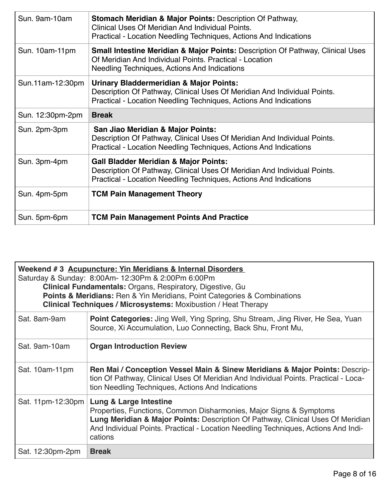| Sun. 9am-10am    | <b>Stomach Meridian &amp; Major Points: Description Of Pathway,</b><br>Clinical Uses Of Meridian And Individual Points.<br>Practical - Location Needling Techniques, Actions And Indications         |
|------------------|------------------------------------------------------------------------------------------------------------------------------------------------------------------------------------------------------|
| Sun. 10am-11pm   | <b>Small Intestine Meridian &amp; Major Points: Description Of Pathway, Clinical Uses</b><br>Of Meridian And Individual Points, Practical - Location<br>Needling Techniques, Actions And Indications |
| Sun.11am-12:30pm | <b>Urinary Bladdermeridian &amp; Major Points:</b><br>Description Of Pathway, Clinical Uses Of Meridian And Individual Points.<br>Practical - Location Needling Techniques, Actions And Indications  |
| Sun. 12:30pm-2pm | <b>Break</b>                                                                                                                                                                                         |
| Sun. 2pm-3pm     | San Jiao Meridian & Major Points:<br>Description Of Pathway, Clinical Uses Of Meridian And Individual Points.<br>Practical - Location Needling Techniques, Actions And Indications                   |
| Sun. 3pm-4pm     | <b>Gall Bladder Meridian &amp; Major Points:</b><br>Description Of Pathway, Clinical Uses Of Meridian And Individual Points.<br>Practical - Location Needling Techniques, Actions And Indications    |
| Sun. 4pm-5pm     | <b>TCM Pain Management Theory</b>                                                                                                                                                                    |
| Sun. 5pm-6pm     | <b>TCM Pain Management Points And Practice</b>                                                                                                                                                       |

| Weekend # 3 Acupuncture: Yin Meridians & Internal Disorders<br>Saturday & Sunday: 8:00Am- 12:30Pm & 2:00Pm 6:00Pm<br><b>Clinical Fundamentals: Organs, Respiratory, Digestive, Gu.</b><br>Points & Meridians: Ren & Yin Meridians, Point Categories & Combinations<br>Clinical Techniques / Microsystems: Moxibustion / Heat Therapy |                                                                                                                                                                                                                                                                                             |
|--------------------------------------------------------------------------------------------------------------------------------------------------------------------------------------------------------------------------------------------------------------------------------------------------------------------------------------|---------------------------------------------------------------------------------------------------------------------------------------------------------------------------------------------------------------------------------------------------------------------------------------------|
| Sat. 8am-9am                                                                                                                                                                                                                                                                                                                         | <b>Point Categories:</b> Jing Well, Ying Spring, Shu Stream, Jing River, He Sea, Yuan<br>Source, Xi Accumulation, Luo Connecting, Back Shu, Front Mu,                                                                                                                                       |
| Sat. 9am-10am                                                                                                                                                                                                                                                                                                                        | <b>Organ Introduction Review</b>                                                                                                                                                                                                                                                            |
| Sat. 10am-11pm                                                                                                                                                                                                                                                                                                                       | Ren Mai / Conception Vessel Main & Sinew Meridians & Major Points: Descrip-<br>tion Of Pathway, Clinical Uses Of Meridian And Individual Points. Practical - Loca-<br>tion Needling Techniques, Actions And Indications                                                                     |
| Sat. 11pm-12:30pm                                                                                                                                                                                                                                                                                                                    | <b>Lung &amp; Large Intestine</b><br>Properties, Functions, Common Disharmonies, Major Signs & Symptoms<br>Lung Meridian & Major Points: Description Of Pathway, Clinical Uses Of Meridian<br>And Individual Points. Practical - Location Needling Techniques, Actions And Indi-<br>cations |
| Sat. 12:30pm-2pm                                                                                                                                                                                                                                                                                                                     | <b>Break</b>                                                                                                                                                                                                                                                                                |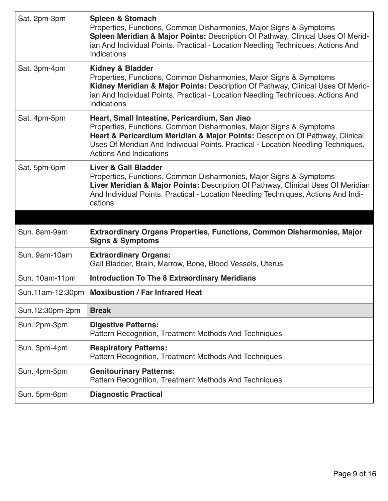| Sat. 2pm-3pm     | <b>Spleen &amp; Stomach</b><br>Properties, Functions, Common Disharmonies, Major Signs & Symptoms<br>Spleen Meridian & Major Points: Description Of Pathway, Clinical Uses Of Merid-<br>ian And Individual Points. Practical - Location Needling Techniques, Actions And<br>Indications                                     |
|------------------|-----------------------------------------------------------------------------------------------------------------------------------------------------------------------------------------------------------------------------------------------------------------------------------------------------------------------------|
| Sat. 3pm-4pm     | <b>Kidney &amp; Bladder</b><br>Properties, Functions, Common Disharmonies, Major Signs & Symptoms<br>Kidney Meridian & Major Points: Description Of Pathway, Clinical Uses Of Merid-<br>ian And Individual Points. Practical - Location Needling Techniques, Actions And<br>Indications                                     |
| Sat. 4pm-5pm     | Heart, Small Intestine, Pericardium, San Jiao<br>Properties, Functions, Common Disharmonies, Major Signs & Symptoms<br>Heart & Pericardium Meridian & Major Points: Description Of Pathway, Clinical<br>Uses Of Meridian And Individual Points. Practical - Location Needling Techniques,<br><b>Actions And Indications</b> |
| Sat. 5pm-6pm     | <b>Liver &amp; Gall Bladder</b><br>Properties, Functions, Common Disharmonies, Major Signs & Symptoms<br>Liver Meridian & Major Points: Description Of Pathway, Clinical Uses Of Meridian<br>And Individual Points. Practical - Location Needling Techniques, Actions And Indi-<br>cations                                  |
|                  |                                                                                                                                                                                                                                                                                                                             |
|                  |                                                                                                                                                                                                                                                                                                                             |
| Sun. 8am-9am     | Extraordinary Organs Properties, Functions, Common Disharmonies, Major<br><b>Signs &amp; Symptoms</b>                                                                                                                                                                                                                       |
| Sun. 9am-10am    | <b>Extraordinary Organs:</b><br>Gall Bladder, Brain, Marrow, Bone, Blood Vessels, Uterus                                                                                                                                                                                                                                    |
| Sun. 10am-11pm   | <b>Introduction To The 8 Extraordinary Meridians</b>                                                                                                                                                                                                                                                                        |
| Sun.11am-12:30pm | <b>Moxibustion / Far Infrared Heat</b>                                                                                                                                                                                                                                                                                      |
| Sun.12:30pm-2pm  | <b>Break</b>                                                                                                                                                                                                                                                                                                                |
| Sun. 2pm-3pm     | <b>Digestive Patterns:</b><br>Pattern Recognition, Treatment Methods And Techniques                                                                                                                                                                                                                                         |
| Sun. 3pm-4pm     | <b>Respiratory Patterns:</b><br>Pattern Recognition, Treatment Methods And Techniques                                                                                                                                                                                                                                       |
| Sun. 4pm-5pm     | <b>Genitourinary Patterns:</b><br>Pattern Recognition, Treatment Methods And Techniques                                                                                                                                                                                                                                     |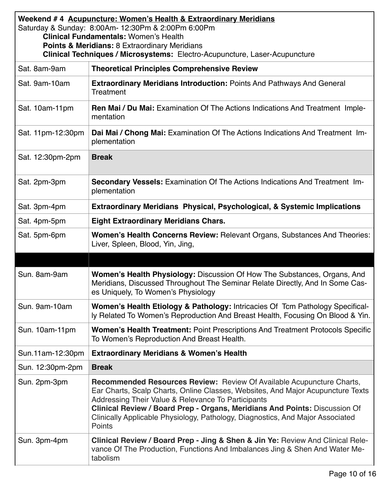| Weekend #4 Acupuncture: Women's Health & Extraordinary Meridians<br>Saturday & Sunday: 8:00Am- 12:30Pm & 2:00Pm 6:00Pm<br><b>Clinical Fundamentals: Women's Health</b><br><b>Points &amp; Meridians: 8 Extraordinary Meridians</b><br>Clinical Techniques / Microsystems: Electro-Acupuncture, Laser-Acupuncture |                                                                                                                                                                                                                                                                                                                                                                                          |
|------------------------------------------------------------------------------------------------------------------------------------------------------------------------------------------------------------------------------------------------------------------------------------------------------------------|------------------------------------------------------------------------------------------------------------------------------------------------------------------------------------------------------------------------------------------------------------------------------------------------------------------------------------------------------------------------------------------|
| Sat. 8am-9am                                                                                                                                                                                                                                                                                                     | <b>Theoretical Principles Comprehensive Review</b>                                                                                                                                                                                                                                                                                                                                       |
| Sat. 9am-10am                                                                                                                                                                                                                                                                                                    | <b>Extraordinary Meridians Introduction: Points And Pathways And General</b><br>Treatment                                                                                                                                                                                                                                                                                                |
| Sat. 10am-11pm                                                                                                                                                                                                                                                                                                   | Ren Mai / Du Mai: Examination Of The Actions Indications And Treatment Imple-<br>mentation                                                                                                                                                                                                                                                                                               |
| Sat. 11pm-12:30pm                                                                                                                                                                                                                                                                                                | Dai Mai / Chong Mai: Examination Of The Actions Indications And Treatment Im-<br>plementation                                                                                                                                                                                                                                                                                            |
| Sat. 12:30pm-2pm                                                                                                                                                                                                                                                                                                 | <b>Break</b>                                                                                                                                                                                                                                                                                                                                                                             |
| Sat. 2pm-3pm                                                                                                                                                                                                                                                                                                     | Secondary Vessels: Examination Of The Actions Indications And Treatment Im-<br>plementation                                                                                                                                                                                                                                                                                              |
| Sat. 3pm-4pm                                                                                                                                                                                                                                                                                                     | Extraordinary Meridians Physical, Psychological, & Systemic Implications                                                                                                                                                                                                                                                                                                                 |
| Sat. 4pm-5pm                                                                                                                                                                                                                                                                                                     | <b>Eight Extraordinary Meridians Chars.</b>                                                                                                                                                                                                                                                                                                                                              |
| Sat. 5pm-6pm                                                                                                                                                                                                                                                                                                     | <b>Women's Health Concerns Review: Relevant Organs, Substances And Theories:</b><br>Liver, Spleen, Blood, Yin, Jing,                                                                                                                                                                                                                                                                     |
|                                                                                                                                                                                                                                                                                                                  |                                                                                                                                                                                                                                                                                                                                                                                          |
| Sun. 8am-9am                                                                                                                                                                                                                                                                                                     | Women's Health Physiology: Discussion Of How The Substances, Organs, And<br>Meridians, Discussed Throughout The Seminar Relate Directly, And In Some Cas-<br>es Uniquely, To Women's Physiology                                                                                                                                                                                          |
| Sun. 9am-10am                                                                                                                                                                                                                                                                                                    | Women's Health Etiology & Pathology: Intricacies Of Tcm Pathology Specifical-<br>ly Related To Women's Reproduction And Breast Health, Focusing On Blood & Yin.                                                                                                                                                                                                                          |
| Sun. 10am-11pm                                                                                                                                                                                                                                                                                                   | <b>Women's Health Treatment: Point Prescriptions And Treatment Protocols Specific</b><br>To Women's Reproduction And Breast Health.                                                                                                                                                                                                                                                      |
| Sun.11am-12:30pm                                                                                                                                                                                                                                                                                                 | <b>Extraordinary Meridians &amp; Women's Health</b>                                                                                                                                                                                                                                                                                                                                      |
| Sun. 12:30pm-2pm                                                                                                                                                                                                                                                                                                 | <b>Break</b>                                                                                                                                                                                                                                                                                                                                                                             |
| Sun. 2pm-3pm                                                                                                                                                                                                                                                                                                     | Recommended Resources Review: Review Of Available Acupuncture Charts,<br>Ear Charts, Scalp Charts, Online Classes, Websites, And Major Acupuncture Texts<br>Addressing Their Value & Relevance To Participants<br>Clinical Review / Board Prep - Organs, Meridians And Points: Discussion Of<br>Clinically Applicable Physiology, Pathology, Diagnostics, And Major Associated<br>Points |
| Sun. 3pm-4pm                                                                                                                                                                                                                                                                                                     | Clinical Review / Board Prep - Jing & Shen & Jin Ye: Review And Clinical Rele-<br>vance Of The Production, Functions And Imbalances Jing & Shen And Water Me-<br>tabolism                                                                                                                                                                                                                |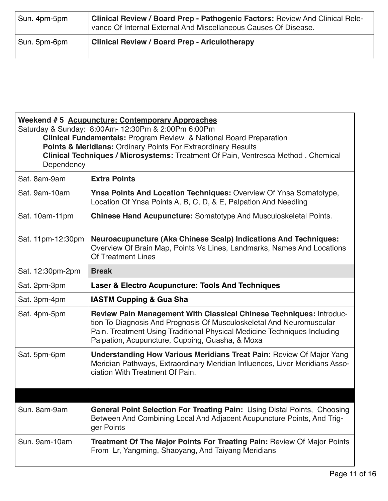| Sun. 4pm-5pm | <b>Clinical Review / Board Prep - Pathogenic Factors: Review And Clinical Rele-</b><br>vance Of Internal External And Miscellaneous Causes Of Disease. |
|--------------|--------------------------------------------------------------------------------------------------------------------------------------------------------|
| Sun. 5pm-6pm | <b>Clinical Review / Board Prep - Ariculotherapy</b>                                                                                                   |

| Weekend #5 Acupuncture: Contemporary Approaches<br>Saturday & Sunday: 8:00Am- 12:30Pm & 2:00Pm 6:00Pm<br><b>Clinical Fundamentals: Program Review &amp; National Board Preparation</b><br>Points & Meridians: Ordinary Points For Extraordinary Results<br>Clinical Techniques / Microsystems: Treatment Of Pain, Ventresca Method, Chemical<br>Dependency |                                                                                                                                                                                                                                                                            |
|------------------------------------------------------------------------------------------------------------------------------------------------------------------------------------------------------------------------------------------------------------------------------------------------------------------------------------------------------------|----------------------------------------------------------------------------------------------------------------------------------------------------------------------------------------------------------------------------------------------------------------------------|
| Sat. 8am-9am                                                                                                                                                                                                                                                                                                                                               | <b>Extra Points</b>                                                                                                                                                                                                                                                        |
| Sat. 9am-10am                                                                                                                                                                                                                                                                                                                                              | <b>Ynsa Points And Location Techniques: Overview Of Ynsa Somatotype,</b><br>Location Of Ynsa Points A, B, C, D, & E, Palpation And Needling                                                                                                                                |
| Sat. 10am-11pm                                                                                                                                                                                                                                                                                                                                             | <b>Chinese Hand Acupuncture:</b> Somatotype And Musculoskeletal Points.                                                                                                                                                                                                    |
| Sat. 11pm-12:30pm                                                                                                                                                                                                                                                                                                                                          | <b>Neuroacupuncture (Aka Chinese Scalp) Indications And Techniques:</b><br>Overview Of Brain Map, Points Vs Lines, Landmarks, Names And Locations<br>Of Treatment Lines                                                                                                    |
| Sat. 12:30pm-2pm                                                                                                                                                                                                                                                                                                                                           | <b>Break</b>                                                                                                                                                                                                                                                               |
| Sat. 2pm-3pm                                                                                                                                                                                                                                                                                                                                               | Laser & Electro Acupuncture: Tools And Techniques                                                                                                                                                                                                                          |
| Sat. 3pm-4pm                                                                                                                                                                                                                                                                                                                                               | <b>IASTM Cupping &amp; Gua Sha</b>                                                                                                                                                                                                                                         |
| Sat. 4pm-5pm                                                                                                                                                                                                                                                                                                                                               | Review Pain Management With Classical Chinese Techniques: Introduc-<br>tion To Diagnosis And Prognosis Of Musculoskeletal And Neuromuscular<br>Pain. Treatment Using Traditional Physical Medicine Techniques Including<br>Palpation, Acupuncture, Cupping, Guasha, & Moxa |
| Sat. 5pm-6pm                                                                                                                                                                                                                                                                                                                                               | <b>Understanding How Various Meridians Treat Pain: Review Of Major Yang</b><br>Meridian Pathways, Extraordinary Meridian Influences, Liver Meridians Asso-<br>ciation With Treatment Of Pain.                                                                              |
|                                                                                                                                                                                                                                                                                                                                                            |                                                                                                                                                                                                                                                                            |
| Sun. 8am-9am                                                                                                                                                                                                                                                                                                                                               | <b>General Point Selection For Treating Pain: Using Distal Points, Choosing</b><br>Between And Combining Local And Adjacent Acupuncture Points, And Trig-<br>ger Points                                                                                                    |
| Sun. 9am-10am                                                                                                                                                                                                                                                                                                                                              | <b>Treatment Of The Major Points For Treating Pain: Review Of Major Points</b><br>From Lr, Yangming, Shaoyang, And Taiyang Meridians                                                                                                                                       |